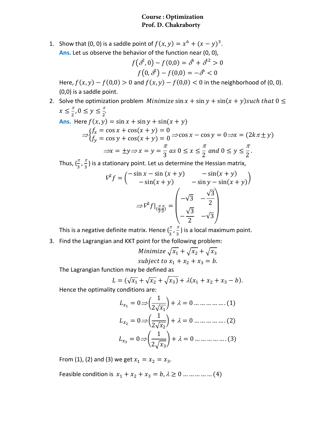## **Course : Optimization Prof. D. Chakraborty**

1. Show that (0, 0) is a saddle point of  $f(x, y) = x^6 + (x - y)^3$ . **Ans.** Let us observe the behavior of the function near (0, 0),

$$
f(\delta^2, 0) - f(0, 0) = \delta^6 + \delta^{12} > 0
$$
  

$$
f(0, \delta^2) - f(0, 0) = -\delta^6 < 0
$$

Here,  $f(x, y) - f(0,0) > 0$  and  $f(x, y) - f(0,0) < 0$  in the neighborhood of (0, 0). (0,0) is a saddle point.

2. Solve the optimization problem *Minimize*  $\sin x + \sin y + \sin(x + y)$  such that  $0 \leq$  $x \leq \frac{\pi}{2}, 0 \leq y \leq \frac{\pi}{2}.$ 

Ans. Here 
$$
f(x, y) = \sin x + \sin y + \sin(x + y)
$$

\n
$$
\Rightarrow \begin{cases} f_x = \cos x + \cos(x + y) = 0\\ f_y = \cos y + \cos(x + y) = 0 \end{cases} \Rightarrow \cos x - \cos y = 0 \Rightarrow x = (2k\pi \pm y)
$$
\n
$$
\Rightarrow x = \pm y \Rightarrow x = y = \frac{\pi}{3} \text{ as } 0 \le x \le \frac{\pi}{2} \text{ and } 0 \le y \le \frac{\pi}{2}.
$$

Thus,  $(\frac{\pi}{3},\frac{\pi}{3})$  is a stationary point. Let us determine the Hessian matrix,

$$
\nabla^2 f = \begin{pmatrix}\n-\sin x - \sin (x + y) & -\sin (x + y) \\
-\sin (x + y) & -\sin y - \sin (x + y)\n\end{pmatrix}
$$
\n
$$
\Rightarrow \nabla^2 f|_{\left(\frac{\pi}{3}, \frac{\pi}{3}\right)} = \begin{pmatrix}\n-\sqrt{3} & -\frac{\sqrt{3}}{2} \\
-\frac{\sqrt{3}}{2} & -\sqrt{3}\n\end{pmatrix}
$$

This is a negative definite matrix. Hence  $(\frac{\pi}{3},\frac{\pi}{3})$  is a local maximum point.

3. Find the Lagrangian and KKT point for the following problem:

Minimize 
$$
\sqrt{x_1} + \sqrt{x_2} + \sqrt{x_3}
$$
  
subject to  $x_1 + x_2 + x_3 = b$ .

The Lagrangian function may be defined as

$$
L = (\sqrt{x_1} + \sqrt{x_2} + \sqrt{x_3}) + \lambda(x_1 + x_2 + x_3 - b).
$$

Hence the optimality conditions are:

$$
L_{x_1} = 0 \Rightarrow \left(\frac{1}{2\sqrt{x_1}}\right) + \lambda = 0 \dots \dots \dots \dots \dots (1)
$$

$$
L_{x_2} = 0 \Rightarrow \left(\frac{1}{2\sqrt{x_2}}\right) + \lambda = 0 \dots \dots \dots \dots \dots (2)
$$

$$
L_{x_3} = 0 \Rightarrow \left(\frac{1}{2\sqrt{x_3}}\right) + \lambda = 0 \dots \dots \dots \dots \dots (3)
$$

From (1), (2) and (3) we get  $x_1 = x_2 = x_3$ .

Feasible condition is  $x_1 + x_2 + x_3 = b$ ,  $\lambda \ge 0$  ... ... ... ... (4)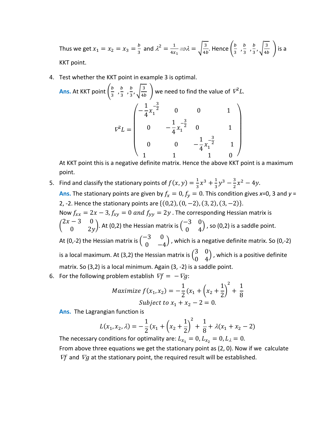Thus we get  $x_1 = x_2 = x_3 = \frac{b}{3}$  and  $\lambda^2 = \frac{1}{4x_1} \Rightarrow \lambda = \sqrt{\frac{3}{4b}}$ . Hence  $\left(\frac{b}{3}, \frac{b}{3}, \frac{b}{3}, \sqrt{\frac{3}{4b}}\right)$  is a KKT point.

4. Test whether the KKT point in example 3 is optimal.

**Ans.** At KKT point 
$$
\left(\frac{b}{3}, \frac{b}{3}, \frac{b}{3}, \sqrt{\frac{3}{4b}}\right)
$$
 we need to find the value of  $\nabla^2 L$ .  

$$
\nabla^2 L = \begin{pmatrix}\n-\frac{1}{4}x_1^{-\frac{3}{2}} & 0 & 0 & 1 \\
0 & -\frac{1}{4}x_1^{-\frac{3}{2}} & 0 & 1 \\
0 & 0 & -\frac{1}{4}x_1^{-\frac{3}{2}} & 1 \\
1 & 1 & 1 & 0\n\end{pmatrix}
$$

At KKT point this is a negative definite matrix. Hence the above KKT point is a maximum point.

- 5. Find and classify the stationary points of  $f(x, y) = \frac{1}{2}x^3 + \frac{1}{2}y^3 \frac{3}{2}x^2 4y$ . **Ans.** The stationary points are given by  $f_x = 0$ ,  $f_y = 0$ . This condition gives x=0, 3 and y = 2, -2. Hence the stationary points are  $\{(0,2), (0, -2), (3, 2), (3, -2)\}.$ Now  $f_{xx} = 2x - 3$ ,  $f_{xy} = 0$  and  $f_{yy} = 2y$ . The corresponding Hessian matrix is  $\begin{pmatrix} 2x-3 & 0 \\ 0 & 2y \end{pmatrix}$ . At (0,2) the Hessian matrix is  $\begin{pmatrix} -3 & 0 \\ 0 & 4 \end{pmatrix}$ , so (0,2) is a saddle point. At (0,-2) the Hessian matrix is  $\begin{pmatrix} -3 & 0 \\ 0 & -4 \end{pmatrix}$ , which is a negative definite matrix. So (0,-2) is a local maximum. At (3,2) the Hessian matrix is  $\begin{pmatrix} 3 & 0 \\ 0 & 4 \end{pmatrix}$ , which is a positive definite matrix. So (3,2) is a local minimum. Again (3, -2) is a saddle point.
- 6. For the following problem establish  $\nabla f = -\nabla g$ :

$$
Maximize f(x_1, x_2) = -\frac{1}{2}(x_1 + (x_2 + \frac{1}{2})^2 + \frac{1}{8}
$$
  
Subject to  $x_1 + x_2 - 2 = 0$ .

Ans. The Lagrangian function is

$$
L(x_1, x_2, \lambda) = -\frac{1}{2}(x_1 + \left(x_2 + \frac{1}{2}\right)^2 + \frac{1}{8} + \lambda(x_1 + x_2 - 2)
$$

The necessary conditions for optimality are:  $L_{x_1} = 0$ ,  $L_{x_2} = 0$ ,  $L_{\lambda} = 0$ . From above three equations we get the stationary point as (2, 0). Now if we calculate  $\nabla f$  and  $\nabla g$  at the stationary point, the required result will be established.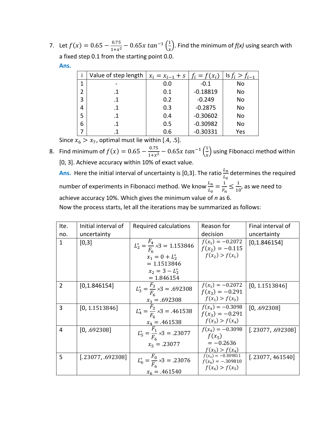7. Let  $f(x) = 0.65 - \frac{0.75}{1 + x^2} - 0.65x \tan^{-1} \left( \frac{1}{x} \right)$  $\frac{1}{x}$ ). Find the minimum of  $f(x)$  using search with a fixed step 0.1 from the starting point 0.0. **Ans.**

|   | Value of step length | $x_i = x_{i-1} + s$ | $f_i = f(x_i)$ | Is $f_i > f_{i-1}$ |
|---|----------------------|---------------------|----------------|--------------------|
| 1 |                      | 0.0                 | $-0.1$         | No                 |
| 2 |                      | 0.1                 | $-0.18819$     | No                 |
| 3 | .1                   | 0.2                 | $-0.249$       | No                 |
| 4 | .1                   | 0.3                 | $-0.2875$      | No                 |
| 5 | .1                   | 0.4                 | $-0.30602$     | No                 |
| 6 |                      | 0.5                 | $-0.30982$     | No                 |
|   |                      | 0.6                 | $-0.30331$     | Yes                |

Since  $x_6 > x_7$ , optimal must lie within [.4, .5].

8. Find minimum of  $f(x) = 0.65 - \frac{0.75}{1+x^2} - 0.65x \tan^{-1} \left( \frac{1}{x} \right)$  $\frac{1}{x}$ ) using Fibonacci method within [0, 3]. Achieve accuracy within 10% of exact value.

**Ans.** Here the initial interval of uncertainty is [0,3]. The ratio  $\frac{L_n}{L_0}$  determines the required number of experiments in Fibonacci method. We know  $\frac{L_n}{L_0} = \frac{1}{F_n} \leq \frac{1}{10}$ , as we need to achieve accuracy 10%. Which gives the minimum value of *n* as 6.

Now the process starts, let all the iterations may be summarized as follows:

| Ite.         | Initial interval of | Required calculations                                                                                    | Reason for                                                       | Final interval of |
|--------------|---------------------|----------------------------------------------------------------------------------------------------------|------------------------------------------------------------------|-------------------|
| no.          | uncertainty         |                                                                                                          | decision                                                         | uncertainty       |
| $\mathbf{1}$ | [0,3]               | $L_2^* = \frac{F_4}{F_6} \times 3 = 1.153846$<br>$x_1 = 0 + L_2^*$<br>$= 1.1513846$<br>$x_2 = 3 - L_2^*$ | $f(x_1) = -0.2072$<br>$f(x_2) = -0.115$<br>$f(x_2) > f(x_1)$     | [0, 1.846154]     |
|              |                     | $= 1.846154$                                                                                             |                                                                  |                   |
| 2            | [0, 1.846154]       | $L_3^* = \frac{F_3}{F_6} \times 3 = .692308$                                                             | $f(x_1) = -0.2072$<br>$f(x_3) = -0.291$<br>$f(x_1) > f(x_3)$     | [0, 1.1513846]    |
|              |                     | $x_3 = .692308$                                                                                          |                                                                  |                   |
| 3            | [0, 1.1513846]      | $L_4^* = \frac{F_2}{F_6} \times 3 = .461538$                                                             | $f(x_4) = -0.3098$<br>$f(x_3) = -0.291$<br>$f(x_3) > f(x_4)$     | [0, .692308]      |
| 4            | [0, .692308]        | $x_4 = .461538$<br>$L_5^* = \frac{F_1}{F_6} \times 3 = .23077$                                           | $f(x_4) = -0.3098$<br>$f(x_{5})$                                 | [.23077, .692308] |
|              |                     | $x_5 = .23077$                                                                                           | $=-0.2636$<br>$f(x_5) > f(x_4)$                                  |                   |
| 5            | [.23077, .692308]   | $L_6^* = \frac{F_0}{F_6} \times 3 = .23076$<br>$x_6 = .461540$                                           | $f(x_4) = -0.309811$<br>$f(x_6) = -.309810$<br>$f(x_6) > f(x_5)$ | [.23077, 461540]  |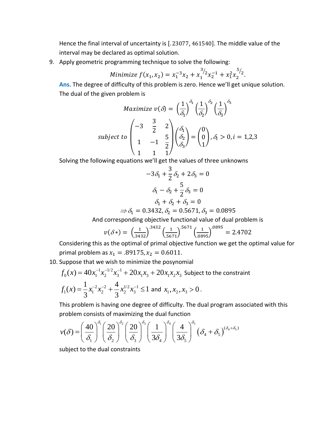Hence the final interval of uncertainty is [.23077, 461540]. The middle value of the interval may be declared as optimal solution.

9. Apply geometric programming technique to solve the following:

Minimize 
$$
f(x_1, x_2) = x_1^{-3}x_2 + x_1^{3/2}x_2^{-1} + x_1^2x_2^{5/2}
$$
.

Ans. The degree of difficulty of this problem is zero. Hence we'll get unique solution. The dual of the given problem is

$$
Maximize \space v(\delta) = \left(\frac{1}{\delta_1}\right)^{\delta_1} \left(\frac{1}{\delta_2}\right)^{\delta_2} \left(\frac{1}{\delta_3}\right)^{\delta_3}
$$
\n
$$
subject \space to \space \begin{pmatrix} -3 & \frac{3}{2} & 2\\ 1 & -1 & \frac{5}{2} \\ 1 & 1 & 1 \end{pmatrix} \begin{pmatrix} \delta_1\\ \delta_2 \end{pmatrix} = \begin{pmatrix} 0\\ 0 \end{pmatrix}, \delta_i > 0, i = 1, 2, 3
$$

Solving the following equations we'll get the values of three unknowns

$$
-3\delta_1 + \frac{3}{2}\delta_2 + 2\delta_3 = 0
$$

$$
\delta_1 - \delta_2 + \frac{5}{2}\delta_3 = 0
$$

$$
\delta_1 + \delta_2 + \delta_3 = 0
$$

$$
\Rightarrow \delta_1 = 0.3432, \delta_2 = 0.5671, \delta_3 = 0.0895
$$

And corresponding objective functional value of dual problem is

$$
v(\delta*) = \left(\frac{1}{3432}\right)^{3432} \left(\frac{1}{5671}\right)^{5671} \left(\frac{1}{0895}\right)^{0895} = 2.4702
$$

Considering this as the optimal of primal objective function we get the optimal value for primal problem as  $x_1 = .89175$ ,  $x_2 = 0.6011$ .

10. Suppose that we wish to minimize the posynomial

$$
f_0(x) = 40x_1^{-1}x_2^{-1/2}x_3^{-1} + 20x_1x_3 + 20x_1x_2x_3
$$
 Subject to the constraint  

$$
f_1(x) = \frac{1}{3}x_1^{-2}x_2^{-2} + \frac{4}{3}x_2^{1/2}x_3^{-1} \le 1
$$
 and  $x_1, x_2, x_3 > 0$ .

This problem is having one degree of difficulty. The dual program associated with this problem consists of maximizing the dual function

$$
v(\delta) = \left(\frac{40}{\delta_1}\right)^{\delta_1} \left(\frac{20}{\delta_2}\right)^{\delta_2} \left(\frac{20}{\delta_3}\right)^{\delta_3} \left(\frac{1}{3\delta_4}\right)^{\delta_4} \left(\frac{4}{3\delta_5}\right)^{\delta_5} \left(\delta_4 + \delta_5\right)^{(\delta_4 + \delta_5)}
$$

subject to the dual constraints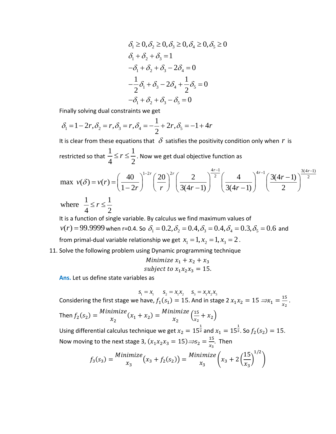$$
\delta_1 \ge 0, \delta_2 \ge 0, \delta_3 \ge 0, \delta_4 \ge 0, \delta_5 \ge 0
$$
  
\n
$$
\delta_1 + \delta_2 + \delta_3 = 1
$$
  
\n
$$
-\delta_1 + \delta_2 + \delta_3 - 2\delta_4 = 0
$$
  
\n
$$
-\frac{1}{2}\delta_1 + \delta_3 - 2\delta_4 + \frac{1}{2}\delta_5 = 0
$$
  
\n
$$
-\delta_1 + \delta_2 + \delta_3 - \delta_5 = 0
$$

Finally solving dual constraints we get

$$
\delta_1 = 1 - 2r, \delta_2 = r, \delta_3 = r, \delta_4 = -\frac{1}{2} + 2r, \delta_5 = -1 + 4r
$$

It is clear from these equations that  $\delta$  satisfies the positivity condition only when *r* is restricted so that  $1 \t1$  $4 - 2$  $\leq$   $r \leq \frac{1}{2}$ . Now we get dual objective function as

$$
\max \ v(\delta) = v(r) = \left(\frac{40}{1-2r}\right)^{1-2r} \left(\frac{20}{r}\right)^{2r} \left(\frac{2}{3(4r-1)}\right)^{\frac{4r-1}{2}} \left(\frac{4}{3(4r-1)}\right)^{4r-1} \left(\frac{3(4r-1)}{2}\right)^{\frac{3(4r-1)}{2}}
$$
\n
$$
\text{where } \frac{1}{4} \le r \le \frac{1}{2}
$$

It is a function of single variable. By calculus we find maximum values of  $v(r) = 99.9999$  when r=0.4. So  $\delta_1 = 0.2$ ,  $\delta_2 = 0.4$ ,  $\delta_3 = 0.4$ ,  $\delta_4 = 0.3$ ,  $\delta_5 = 0.6$  and from primal-dual variable relationship we get  $x_1 = 1, x_2 = 1, x_3 = 2$ .

11. Solve the following problem using Dynamic programming technique

Minimize 
$$
x_1 + x_2 + x_3
$$
  
subject to  $x_1x_2x_3 = 15$ .

**Ans.** Let us define state variables as

 $s_1 = x_1$   $s_2 = x_1 x_2$   $s_3 = x_1 x_2 x_3$ Considering the first stage we have,  $f_1(s_1) = 15$ . And in stage 2  $x_1x_2 = 15 \Rightarrow x_1 = \frac{15}{x_2}$ . Then  $f_2(s_2) = \frac{\text{Minimize}}{x_2}$  $(x_1 + x_2) = \frac{\text{Minimize}}{x_2} \left( \frac{15}{x_2} \right)$  $\frac{15}{x_2} + x_2$ Using differential calculus technique we get  $x_2 = 15^{\frac{1}{2}}$  and  $x_1 = 15^{\frac{1}{2}}$ . So  $f_2(s_2) = 15$ . Now moving to the next stage 3,  $(x_1x_2x_3 = 15) \Rightarrow s_2 = \frac{15}{x_3}$ . Then

$$
f_3(s_3) = \frac{\text{Minimize}}{x_3} (x_3 + f_2(s_2)) = \frac{\text{Minimize}}{x_3} \left( x_3 + 2 \left( \frac{15}{x_3} \right)^{1/2} \right)
$$